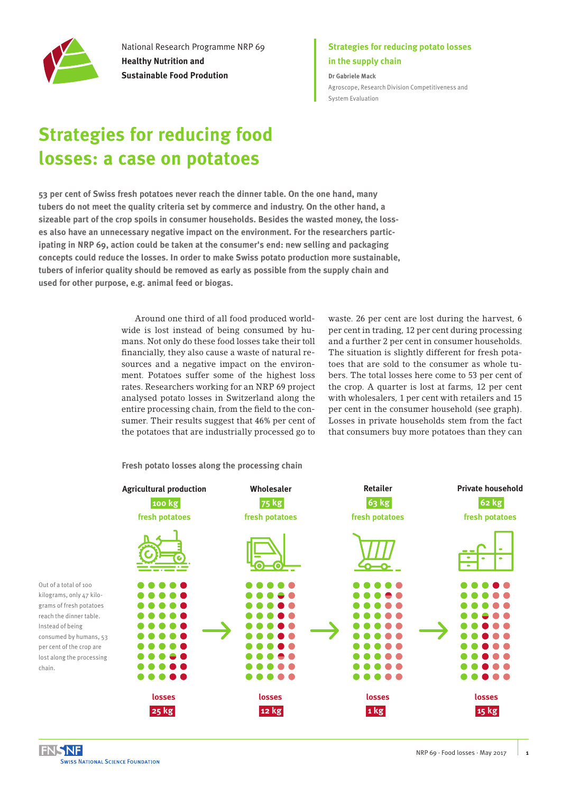

National Research Programme NRP 69 **Healthy Nutrition and Sustainable Food Prodution**

## **Strategies for reducing potato losses in the supply chain**

**Dr Gabriele Mack** Agroscope, Research Division Competitiveness and System Evaluation

## **Strategies for reducing food losses: a case on potatoes**

**53 per cent of Swiss fresh potatoes never reach the dinner table. On the one hand, many tubers do not meet the quality criteria set by commerce and industry. On the other hand, a sizeable part of the crop spoils in consumer households. Besides the wasted money, the losses also have an unnecessary negative impact on the environment. For the researchers participating in NRP 69, action could be taken at the consumer's end: new selling and packaging concepts could reduce the losses. In order to make Swiss potato production more sustainable, tubers of inferior quality should be removed as early as possible from the supply chain and used for other purpose, e.g. animal feed or biogas.** 

> Around one third of all food produced worldwide is lost instead of being consumed by humans. Not only do these food losses take their toll financially, they also cause a waste of natural resources and a negative impact on the environment. Potatoes suffer some of the highest loss rates. Researchers working for an NRP 69 project analysed potato losses in Switzerland along the entire processing chain, from the field to the consumer. Their results suggest that 46% per cent of the potatoes that are industrially processed go to

waste. 26 per cent are lost during the harvest, 6 per cent in trading, 12 per cent during processing and a further 2 per cent in consumer households. The situation is slightly different for fresh potatoes that are sold to the consumer as whole tubers. The total losses here come to 53 per cent of the crop. A quarter is lost at farms, 12 per cent with wholesalers, 1 per cent with retailers and 15 per cent in the consumer household (see graph). Losses in private households stem from the fact that consumers buy more potatoes than they can

**Fresh potato losses along the processing chain**



chain.